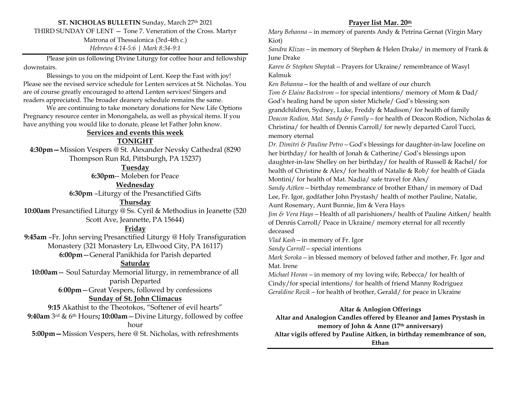# **ST. NICHOLAS BULLETIN** Sunday, March 27<sup>th</sup> 2021

THIRD SUNDAY OF LENT — Tone 7. Veneration of the Cross. Martyr

Matrona of Thessalonica (3rd-4th c.)

*Hebrews 4:14-5:6 | Mark 8:34-9:1*

Please join us following Divine Liturgy for coffee hour and fellowship downstairs.

Blessings to you on the midpoint of Lent. Keep the Fast with joy! Please see the revised service schedule for Lenten services at St. Nicholas. You are of course greatly encouraged to attend Lenten services! Singers and readers appreciated. The broader deanery schedule remains the same.

We are continuing to take monetary donations for New Life Options Pregnancy resource center in Monongahela, as well as physical items. If you have anything you would like to donate, please let Father John know.

#### **Services and events this week**

### **TONIGHT**

**4:30pm—**Mission Vespers @ St. Alexander Nevsky Cathedral (8290 Thompson Run Rd, Pittsburgh, PA 15237)

**Tuesday**

**6:30pm**-- Moleben for Peace

**Wednesday**

**6:30pm** –Liturgy of the Presanctified Gifts

**Thursday**

**10:00am** Presanctified Liturgy @ Ss. Cyril & Methodius in Jeanette (520 Scott Ave, Jeannette, PA 15644)

## **Friday**

**9:45am** –Fr. John serving Presanctified Liturgy @ Holy Transfiguration Monastery (321 Monastery Ln, Ellwood City, PA 16117) **6:00pm**—General Panikhida for Parish departed

# **Saturday**

**10:00am**— Soul Saturday Memorial liturgy, in remembrance of all parish Departed **6**:**00pm**—Great Vespers, followed by confessions

# **Sunday of St. John Climacus**

**9:15** Akathist to the Theotokos, "Softener of evil hearts" **9:40am** 3rd & 6th Hours**; 10:00am**—Divine Liturgy, followed by coffee hour

**5:00pm—**Mission Vespers, here @ St. Nicholas, with refreshments

## **Prayer list Mar. 20th**

*Mary Behanna—*in memory of parents Andy & Petrina Gernat (Virgin Mary Kiot)

*Sandra Klizas—*in memory of Stephen & Helen Drake/ in memory of Frank & June Drake

*Karen & Stephen Sheptak—*Prayers for Ukraine/ remembrance of Wasyl Kalmuk

*Ken Behanna—*for the health of and welfare of our church

*Tom & Elaine Backstrom—*for special intentions/ memory of Mom & Dad/ God's healing hand be upon sister Michele/ God's blessing son grandchildren, Sydney, Luke, Freddy & Madison/ for health of family *Deacon Rodion, Mat. Sandy & Family—*for health of Deacon Rodion, Nicholas & Christina/ for health of Dennis Carroll/ for newly departed Carol Tucci, memory eternal

*Dr. Dimitri & Pauline Petro—*God's blessings for daughter-in-law Joceline on her birthday/ for health of Jonah & Catherine/ God's blessings upon daughter-in-law Shelley on her birthday/ for health of Russell & Rachel/ for health of Christine & Alex/ for health of Natalie & Rob/ for health of Giada Montini/ for health of Mat. Nadia/ safe travel for Alex/

*Sandy Aitken—*birthday remembrance of brother Ethan/ in memory of Dad Lee, Fr. Igor, godfather John Prystash/ health of mother Pauline, Natalie,

Aunt Rosemary, Aunt Bunnie, Jim & Vera Hays

*Jim & Vera Hays—*Health of all parishioners/ health of Pauline Aitken/ health of Dennis Carroll/ Peace in Ukraine/ memory eternal for all recently deceased

*Vlad Kash—*in memory of Fr. Igor

*Sandy Carroll—*special intentions

*Mark Soroka—*in blessed memory of beloved father and mother, Fr. Igor and Mat. Irene

*Michael Horan—*in memory of my loving wife, Rebecca/ for health of Cindy/for special intentions/ for health of friend Manny Rodriguez *Geraldine Rozik—*for health of brother, Gerald/ for peace in Ukraine

### **Altar & Anlogion Offerings**

**Altar and Analogion Candles offered by Eleanor and James Prystash in memory of John & Anne (17th anniversary) Altar vigils offered by Pauline Aitken, in birthday remembrance of son, Ethan**